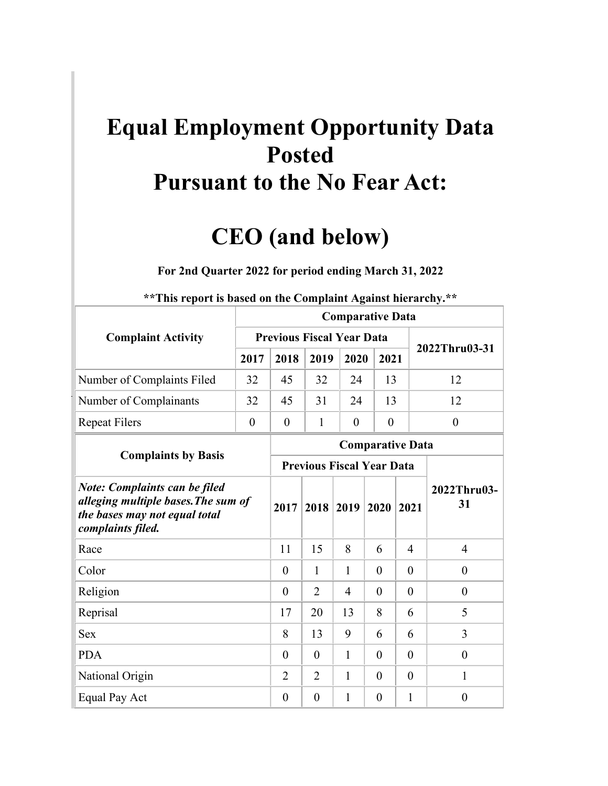## **Equal Employment Opportunity Data Posted Pursuant to the No Fear Act:**

## **CEO (and below)**

## **For 2nd Quarter 2022 for period ending March 31, 2022**

|                                                                                                                                   | <b>Comparative Data</b> |                                  |                |                                  |                |                |                   |  |  |  |  |  |  |
|-----------------------------------------------------------------------------------------------------------------------------------|-------------------------|----------------------------------|----------------|----------------------------------|----------------|----------------|-------------------|--|--|--|--|--|--|
| <b>Complaint Activity</b>                                                                                                         |                         | <b>Previous Fiscal Year Data</b> |                |                                  |                |                | 2022Thru03-31     |  |  |  |  |  |  |
|                                                                                                                                   | 2017                    | 2018                             | 2019           | 2020                             | 2021           |                |                   |  |  |  |  |  |  |
| Number of Complaints Filed                                                                                                        | 32                      | 45                               | 32             | 24                               | 13             |                | 12                |  |  |  |  |  |  |
| Number of Complainants                                                                                                            | 32                      | 45                               | 31             | 24                               | 13             |                | 12                |  |  |  |  |  |  |
| <b>Repeat Filers</b>                                                                                                              | $\overline{0}$          | $\theta$                         | 1              | $\theta$                         | $\theta$       |                | $\theta$          |  |  |  |  |  |  |
|                                                                                                                                   |                         | <b>Comparative Data</b>          |                |                                  |                |                |                   |  |  |  |  |  |  |
| <b>Complaints by Basis</b>                                                                                                        |                         |                                  |                | <b>Previous Fiscal Year Data</b> |                |                |                   |  |  |  |  |  |  |
| <b>Note: Complaints can be filed</b><br>alleging multiple bases. The sum of<br>the bases may not equal total<br>complaints filed. |                         | 2017                             | 2018           | 2019                             | 2020           | 2021           | 2022Thru03-<br>31 |  |  |  |  |  |  |
| Race                                                                                                                              |                         | 11                               | 15             | 8                                | 6              | $\overline{4}$ | $\overline{4}$    |  |  |  |  |  |  |
| Color                                                                                                                             |                         | $\theta$                         | 1              | $\mathbf{1}$                     | $\overline{0}$ | $\theta$       | $\theta$          |  |  |  |  |  |  |
| Religion                                                                                                                          |                         | $\theta$                         | 2              | 4                                | $\theta$       | $\theta$       | $\theta$          |  |  |  |  |  |  |
| Reprisal                                                                                                                          |                         | 17                               | 20             | 13                               | 8              | 6              | 5                 |  |  |  |  |  |  |
| <b>Sex</b>                                                                                                                        |                         | 8                                | 13             | 9                                | 6              | 6              | 3                 |  |  |  |  |  |  |
| <b>PDA</b>                                                                                                                        |                         | $\theta$                         | $\overline{0}$ | $\mathbf{1}$                     | $\theta$       | $\theta$       | $\theta$          |  |  |  |  |  |  |
| National Origin                                                                                                                   | $\overline{2}$          | $\overline{2}$                   | 1              | $\theta$                         | $\theta$       | 1              |                   |  |  |  |  |  |  |
| Equal Pay Act                                                                                                                     |                         | $\overline{0}$                   | $\overline{0}$ | $\mathbf{1}$                     | $\overline{0}$ | $\mathbf{1}$   | $\overline{0}$    |  |  |  |  |  |  |

## **\*\*This report is based on the Complaint Against hierarchy.\*\***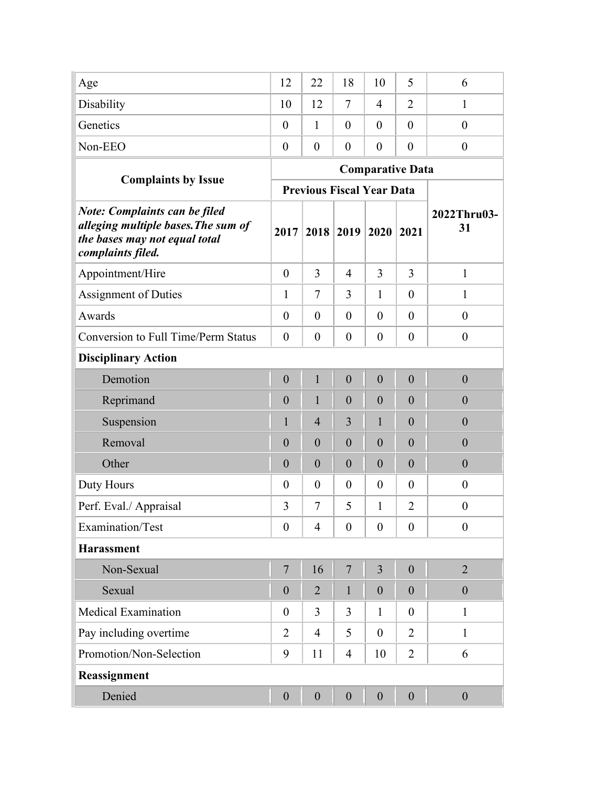| Age                                                                                                                               | 12               | 22                               | 18               | 10               | 5                       | 6                 |
|-----------------------------------------------------------------------------------------------------------------------------------|------------------|----------------------------------|------------------|------------------|-------------------------|-------------------|
| Disability                                                                                                                        | 10               | 12                               | $\tau$           | $\overline{4}$   | $\overline{2}$          | 1                 |
| Genetics                                                                                                                          | $\theta$         | 1                                | $\theta$         | $\theta$         | $\theta$                | $\overline{0}$    |
| Non-EEO                                                                                                                           | $\theta$         | $\boldsymbol{0}$                 | $\overline{0}$   | $\theta$         | $\overline{0}$          | $\boldsymbol{0}$  |
|                                                                                                                                   |                  |                                  |                  |                  | <b>Comparative Data</b> |                   |
| <b>Complaints by Issue</b>                                                                                                        |                  | <b>Previous Fiscal Year Data</b> |                  |                  |                         |                   |
| <b>Note: Complaints can be filed</b><br>alleging multiple bases. The sum of<br>the bases may not equal total<br>complaints filed. | 2017             |                                  | 2018 2019        | 2020             | 2021                    | 2022Thru03-<br>31 |
| Appointment/Hire                                                                                                                  | $\overline{0}$   | 3                                | $\overline{4}$   | 3                | 3                       | $\mathbf{1}$      |
| <b>Assignment of Duties</b>                                                                                                       | $\mathbf{1}$     | $\overline{7}$                   | 3                | 1                | $\theta$                | $\mathbf{1}$      |
| Awards                                                                                                                            | $\theta$         | $\theta$                         | $\theta$         | $\theta$         | $\theta$                | $\overline{0}$    |
| <b>Conversion to Full Time/Perm Status</b>                                                                                        | $\theta$         | $\theta$                         | $\theta$         | $\theta$         | $\theta$                | $\boldsymbol{0}$  |
| <b>Disciplinary Action</b>                                                                                                        |                  |                                  |                  |                  |                         |                   |
| Demotion                                                                                                                          | $\boldsymbol{0}$ | $\mathbf{1}$                     | $\overline{0}$   | $\boldsymbol{0}$ | $\boldsymbol{0}$        | $\overline{0}$    |
| Reprimand                                                                                                                         | $\boldsymbol{0}$ | 1                                | $\overline{0}$   | $\overline{0}$   | $\overline{0}$          | $\boldsymbol{0}$  |
| Suspension                                                                                                                        | 1                | $\overline{4}$                   | 3                | $\mathbf{1}$     | $\theta$                | $\overline{0}$    |
| Removal                                                                                                                           | $\overline{0}$   | $\boldsymbol{0}$                 | $\overline{0}$   | $\overline{0}$   | $\overline{0}$          | $\boldsymbol{0}$  |
| Other                                                                                                                             | $\overline{0}$   | $\boldsymbol{0}$                 | $\overline{0}$   | $\overline{0}$   | $\overline{0}$          | $\boldsymbol{0}$  |
| Duty Hours                                                                                                                        | $\overline{0}$   | $\boldsymbol{0}$                 | $\boldsymbol{0}$ | $\theta$         | $\theta$                | $\boldsymbol{0}$  |
| Perf. Eval./ Appraisal                                                                                                            | 3                | 7                                | 5                | 1                | $\overline{2}$          | $\boldsymbol{0}$  |
| Examination/Test                                                                                                                  | $\boldsymbol{0}$ | $\overline{4}$                   | $\overline{0}$   | $\theta$         | $\theta$                | $\boldsymbol{0}$  |
| <b>Harassment</b>                                                                                                                 |                  |                                  |                  |                  |                         |                   |
| Non-Sexual                                                                                                                        | $\overline{7}$   | 16                               | $\overline{7}$   | 3                | $\boldsymbol{0}$        | $\overline{2}$    |
| Sexual                                                                                                                            | $\boldsymbol{0}$ | $\overline{2}$                   | $\mathbf{1}$     | $\boldsymbol{0}$ | $\overline{0}$          | $\boldsymbol{0}$  |
| <b>Medical Examination</b>                                                                                                        | $\theta$         | $\overline{3}$                   | $\overline{3}$   | $\mathbf{1}$     | $\overline{0}$          | $\mathbf{1}$      |
| Pay including overtime                                                                                                            | $\overline{2}$   | $\overline{4}$                   | 5                | $\theta$         | $\overline{2}$          | $\mathbf{1}$      |
| Promotion/Non-Selection                                                                                                           | 9                | 11                               | $\overline{4}$   | 10               | $\overline{2}$          | 6                 |
| Reassignment                                                                                                                      |                  |                                  |                  |                  |                         |                   |
| Denied                                                                                                                            | $\boldsymbol{0}$ | $\boldsymbol{0}$                 | $\boldsymbol{0}$ | $\boldsymbol{0}$ | $\boldsymbol{0}$        | $\boldsymbol{0}$  |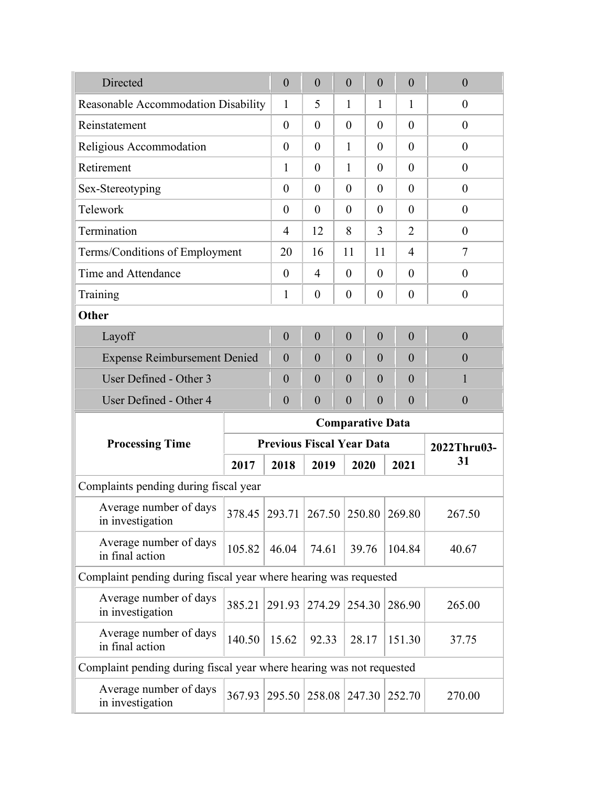| Directed                                                             | $\boldsymbol{0}$ | $\boldsymbol{0}$                   | $\boldsymbol{0}$        | $\overline{0}$   |                | $\theta$       | $\boldsymbol{0}$ |                  |        |        |  |  |  |
|----------------------------------------------------------------------|------------------|------------------------------------|-------------------------|------------------|----------------|----------------|------------------|------------------|--------|--------|--|--|--|
| Reasonable Accommodation Disability                                  |                  | $\mathbf{1}$                       | 5                       | $\mathbf{1}$     | 1              |                | $\mathbf{1}$     | $\theta$         |        |        |  |  |  |
| Reinstatement                                                        |                  | $\theta$                           | $\overline{0}$          | $\theta$         | $\theta$       |                | $\overline{0}$   | $\theta$         |        |        |  |  |  |
| Religious Accommodation                                              |                  | $\theta$                           | $\theta$                | $\mathbf{1}$     | $\theta$       |                | $\overline{0}$   | $\boldsymbol{0}$ |        |        |  |  |  |
| Retirement                                                           |                  | 1                                  | $\theta$                | $\mathbf{1}$     | $\theta$       |                | $\theta$         | $\boldsymbol{0}$ |        |        |  |  |  |
| Sex-Stereotyping                                                     |                  | $\overline{0}$                     | $\theta$                | $\theta$         | $\theta$       |                | $\overline{0}$   | $\theta$         |        |        |  |  |  |
| Telework                                                             |                  | $\theta$                           | $\theta$                | $\theta$         | $\theta$       |                | $\overline{0}$   | $\theta$         |        |        |  |  |  |
| Termination                                                          |                  | $\overline{4}$                     | 12                      | 8                | 3              |                | $\overline{2}$   | $\boldsymbol{0}$ |        |        |  |  |  |
| Terms/Conditions of Employment                                       |                  | 20                                 | 16                      | 11               | 11             |                | 4                | $\tau$           |        |        |  |  |  |
| Time and Attendance                                                  |                  | $\theta$                           | $\overline{4}$          | $\theta$         | $\theta$       |                | $\overline{0}$   | $\boldsymbol{0}$ |        |        |  |  |  |
| Training                                                             |                  | $\mathbf{1}$                       | $\boldsymbol{0}$        | $\boldsymbol{0}$ | $\theta$       |                | $\overline{0}$   | $\boldsymbol{0}$ |        |        |  |  |  |
| Other                                                                |                  |                                    |                         |                  |                |                |                  |                  |        |        |  |  |  |
| Layoff                                                               |                  | $\overline{0}$                     | $\boldsymbol{0}$        | $\overline{0}$   | $\overline{0}$ |                | $\overline{0}$   | $\boldsymbol{0}$ |        |        |  |  |  |
| <b>Expense Reimbursement Denied</b>                                  |                  | $\overline{0}$                     | $\boldsymbol{0}$        | $\theta$         | $\overline{0}$ | $\overline{0}$ |                  | $\overline{0}$   |        |        |  |  |  |
| User Defined - Other 3                                               |                  | $\boldsymbol{0}$                   | $\boldsymbol{0}$        | $\overline{0}$   | $\overline{0}$ |                | $\overline{0}$   | 1                |        |        |  |  |  |
| User Defined - Other 4                                               |                  | $\overline{0}$                     | $\overline{0}$          | $\overline{0}$   | $\overline{0}$ |                | $\overline{0}$   | $\boldsymbol{0}$ |        |        |  |  |  |
|                                                                      |                  |                                    | <b>Comparative Data</b> |                  |                |                |                  |                  |        |        |  |  |  |
| <b>Processing Time</b>                                               |                  | <b>Previous Fiscal Year Data</b>   |                         |                  |                |                |                  | 2022Thru03-      |        |        |  |  |  |
|                                                                      | 2017             | 2018                               | 2019                    |                  | 2020           |                | 2021             | 31               |        |        |  |  |  |
| Complaints pending during fiscal year                                |                  |                                    |                         |                  |                |                |                  |                  |        |        |  |  |  |
| Average number of days<br>in investigation                           |                  | 378.45 293.71 267.50 250.80 269.80 |                         |                  |                |                |                  | 267.50           |        |        |  |  |  |
| Average number of days<br>in final action                            | 105.82           | 46.04                              | 74.61                   |                  | 39.76          |                | 104.84           | 40.67            |        |        |  |  |  |
| Complaint pending during fiscal year where hearing was requested     |                  |                                    |                         |                  |                |                |                  |                  |        |        |  |  |  |
| Average number of days<br>in investigation                           | 385.21           | 291.93                             | 274.29                  |                  | 254.30         |                |                  |                  | 286.90 | 265.00 |  |  |  |
| Average number of days<br>in final action                            | 140.50           | 15.62                              | 92.33                   |                  | 28.17          |                | 151.30           | 37.75            |        |        |  |  |  |
| Complaint pending during fiscal year where hearing was not requested |                  |                                    |                         |                  |                |                |                  |                  |        |        |  |  |  |
| Average number of days<br>in investigation                           | 367.93           | 295.50                             | 258.08                  |                  | 247.30         |                | 252.70           | 270.00           |        |        |  |  |  |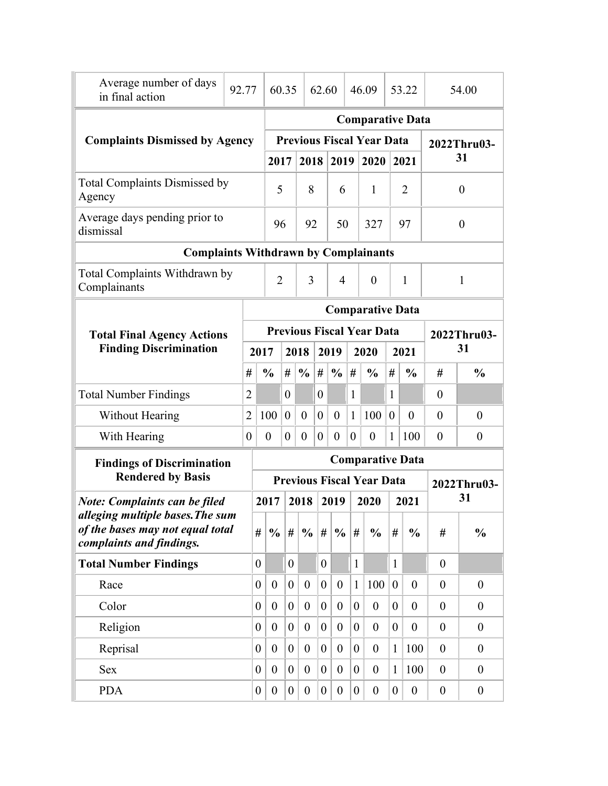| Average number of days<br>in final action                                                        | 92.77 |                         |                                       | 60.35                   |                  | 62.60                |                  | 46.09          |                                  |                  | 53.22            | 54.00            |                  |  |  |
|--------------------------------------------------------------------------------------------------|-------|-------------------------|---------------------------------------|-------------------------|------------------|----------------------|------------------|----------------|----------------------------------|------------------|------------------|------------------|------------------|--|--|
|                                                                                                  |       |                         |                                       |                         |                  |                      |                  |                | <b>Comparative Data</b>          |                  |                  |                  |                  |  |  |
| <b>Complaints Dismissed by Agency</b>                                                            |       |                         |                                       |                         |                  |                      |                  |                | <b>Previous Fiscal Year Data</b> |                  |                  | 2022Thru03-      |                  |  |  |
|                                                                                                  |       |                         | 2017                                  |                         | 2018             |                      | 2019             |                | 2020                             |                  | 2021             |                  | 31               |  |  |
| <b>Total Complaints Dismissed by</b><br>Agency                                                   |       |                         | 5                                     |                         | 8                |                      | 6                |                | $\mathbf{1}$                     |                  | $\overline{2}$   |                  | $\boldsymbol{0}$ |  |  |
| Average days pending prior to<br>dismissal                                                       |       |                         |                                       | 96                      |                  | 92                   |                  | 50             | 327                              |                  | 97               | $\boldsymbol{0}$ |                  |  |  |
| <b>Complaints Withdrawn by Complainants</b>                                                      |       |                         |                                       |                         |                  |                      |                  |                |                                  |                  |                  |                  |                  |  |  |
| Total Complaints Withdrawn by<br>Complainants                                                    |       |                         | $\overline{2}$<br>3<br>$\overline{4}$ |                         |                  |                      |                  |                | $\theta$                         |                  | $\mathbf{1}$     |                  | $\mathbf{1}$     |  |  |
|                                                                                                  |       |                         |                                       | <b>Comparative Data</b> |                  |                      |                  |                |                                  |                  |                  |                  |                  |  |  |
| <b>Total Final Agency Actions</b>                                                                |       |                         |                                       |                         |                  |                      |                  |                | <b>Previous Fiscal Year Data</b> |                  |                  |                  | 2022Thru03-      |  |  |
| <b>Finding Discrimination</b>                                                                    |       | 2017                    |                                       |                         | 2018             | 2019<br>2020<br>2021 |                  |                | 31                               |                  |                  |                  |                  |  |  |
|                                                                                                  |       | #                       | $\frac{0}{0}$                         | #                       | $\frac{0}{0}$    | $\#$                 | $\frac{0}{0}$    | #              | $\frac{0}{0}$                    | #                | $\frac{0}{0}$    | #                | $\frac{0}{0}$    |  |  |
| <b>Total Number Findings</b>                                                                     |       | 2                       |                                       | 0                       |                  | $\boldsymbol{0}$     |                  | $\mathbf{1}$   |                                  | $\mathbf{1}$     |                  | $\boldsymbol{0}$ |                  |  |  |
| <b>Without Hearing</b>                                                                           |       | $\overline{2}$          | 100                                   | $\overline{0}$          | $\theta$         | $\overline{0}$       | $\overline{0}$   | $\mathbf{1}$   | 100                              | $\mathbf{0}$     | $\theta$         | $\theta$         | $\boldsymbol{0}$ |  |  |
| With Hearing                                                                                     |       | $\theta$                | $\boldsymbol{0}$                      | $\theta$                | $\boldsymbol{0}$ | $\theta$             | $\theta$         | $\theta$       | $\boldsymbol{0}$                 | 1                | 100              | $\boldsymbol{0}$ | $\boldsymbol{0}$ |  |  |
| <b>Findings of Discrimination</b>                                                                |       | <b>Comparative Data</b> |                                       |                         |                  |                      |                  |                |                                  |                  |                  |                  |                  |  |  |
| <b>Rendered by Basis</b>                                                                         |       |                         | <b>Previous Fiscal Year Data</b>      |                         |                  |                      |                  |                |                                  |                  |                  | 2022Thru03-      |                  |  |  |
| <b>Note: Complaints can be filed</b>                                                             |       |                         | 2017                                  |                         | 2018             |                      | 2019             |                | 2020                             |                  | 2021             |                  | 31               |  |  |
| alleging multiple bases. The sum<br>of the bases may not equal total<br>complaints and findings. |       | #                       | $\frac{0}{0}$                         | #                       | $\frac{0}{0}$    | #                    | $\frac{0}{0}$    | #              | $\frac{0}{0}$                    | #                | $\frac{0}{0}$    | $^{\#}$          | $\frac{0}{0}$    |  |  |
| <b>Total Number Findings</b>                                                                     |       | $\boldsymbol{0}$        |                                       | $\overline{0}$          |                  | $\overline{0}$       |                  | $\mathbf{1}$   |                                  | $\mathbf{1}$     |                  | $\mathbf{0}$     |                  |  |  |
| Race                                                                                             |       | $\boldsymbol{0}$        | $\overline{0}$                        | $\boldsymbol{0}$        | $\overline{0}$   | $\boldsymbol{0}$     | $\boldsymbol{0}$ | 1              | 100                              | $\boldsymbol{0}$ | $\overline{0}$   | $\overline{0}$   | $\boldsymbol{0}$ |  |  |
| Color                                                                                            |       | $\boldsymbol{0}$        | $\theta$                              | $\boldsymbol{0}$        | $\overline{0}$   | $\mathbf{0}$         | $\boldsymbol{0}$ | $\overline{0}$ | $\theta$                         | $\boldsymbol{0}$ | $\overline{0}$   | $\overline{0}$   | $\overline{0}$   |  |  |
| Religion                                                                                         |       | $\boldsymbol{0}$        | $\theta$                              | $\overline{0}$          | $\theta$         | $\overline{0}$       | $\theta$         | $\mathbf{0}$   | $\theta$                         | $\boldsymbol{0}$ | $\theta$         | $\overline{0}$   | $\theta$         |  |  |
| Reprisal                                                                                         |       | $\overline{0}$          | $\theta$                              | $\overline{0}$          | $\overline{0}$   | $\overline{0}$       | $\overline{0}$   | $\theta$       | $\theta$                         | $\mathbf{1}$     | 100              | $\theta$         | $\boldsymbol{0}$ |  |  |
| <b>Sex</b>                                                                                       |       | $\boldsymbol{0}$        | $\theta$                              | $\overline{0}$          | $\overline{0}$   | $\boldsymbol{0}$     | $\boldsymbol{0}$ | $\overline{0}$ | $\theta$                         | $\mathbf{1}$     | 100              | $\overline{0}$   | $\theta$         |  |  |
| <b>PDA</b>                                                                                       |       | $\boldsymbol{0}$        | $\overline{0}$                        | $\boldsymbol{0}$        | $\boldsymbol{0}$ | $\overline{0}$       | $\boldsymbol{0}$ | $\overline{0}$ | $\boldsymbol{0}$                 | $\boldsymbol{0}$ | $\boldsymbol{0}$ | $\boldsymbol{0}$ | $\boldsymbol{0}$ |  |  |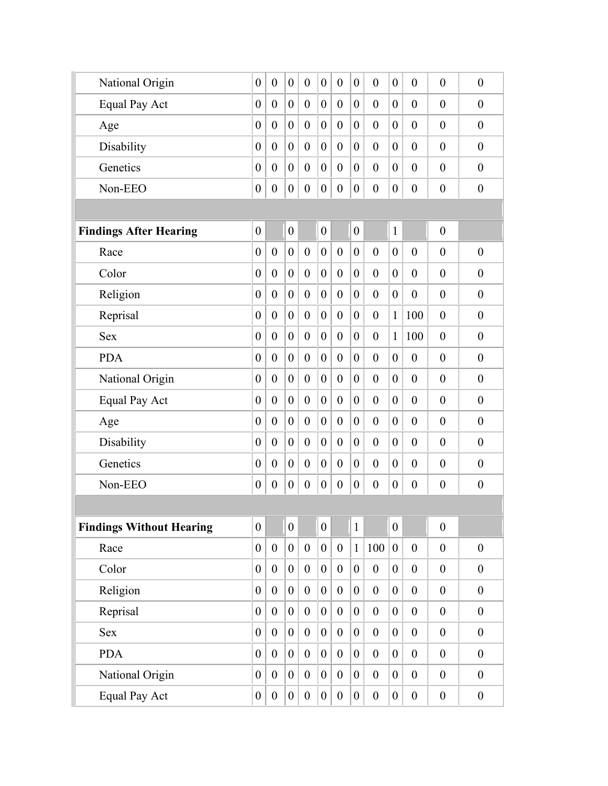| National Origin                 | $\overline{0}$   | $\overline{0}$   | $\boldsymbol{0}$ | $\overline{0}$   | $\overline{0}$   | $\overline{0}$   | $\overline{0}$   | $\overline{0}$   | $\boldsymbol{0}$ | $\overline{0}$   | $\boldsymbol{0}$ | $\boldsymbol{0}$ |
|---------------------------------|------------------|------------------|------------------|------------------|------------------|------------------|------------------|------------------|------------------|------------------|------------------|------------------|
| <b>Equal Pay Act</b>            | $\boldsymbol{0}$ | $\overline{0}$   | $\boldsymbol{0}$ | $\theta$         | $\boldsymbol{0}$ | $\overline{0}$   | $\theta$         | $\overline{0}$   | $\overline{0}$   | $\theta$         | $\overline{0}$   | $\boldsymbol{0}$ |
| Age                             | $\overline{0}$   | $\theta$         | $\overline{0}$   | $\overline{0}$   | $\overline{0}$   | $\overline{0}$   | $\overline{0}$   | $\theta$         | $\overline{0}$   | $\overline{0}$   | $\overline{0}$   | $\theta$         |
| Disability                      | $\boldsymbol{0}$ | $\theta$         | $\boldsymbol{0}$ | $\theta$         | $\boldsymbol{0}$ | $\overline{0}$   | $\theta$         | $\overline{0}$   | $\overline{0}$   | $\overline{0}$   | $\overline{0}$   | $\mathbf{0}$     |
| Genetics                        | $\boldsymbol{0}$ | $\overline{0}$   | $\boldsymbol{0}$ | $\theta$         | $\boldsymbol{0}$ | $\boldsymbol{0}$ | $\boldsymbol{0}$ | $\overline{0}$   | $\boldsymbol{0}$ | $\theta$         | $\overline{0}$   | $\theta$         |
| Non-EEO                         | $\boldsymbol{0}$ | $\boldsymbol{0}$ | $\boldsymbol{0}$ | $\boldsymbol{0}$ | $\overline{0}$   | $\boldsymbol{0}$ | $\boldsymbol{0}$ | $\boldsymbol{0}$ | $\boldsymbol{0}$ | $\boldsymbol{0}$ | $\boldsymbol{0}$ | $\boldsymbol{0}$ |
|                                 |                  |                  |                  |                  |                  |                  |                  |                  |                  |                  |                  |                  |
| <b>Findings After Hearing</b>   | $\boldsymbol{0}$ |                  | $\boldsymbol{0}$ |                  | $\overline{0}$   |                  | $\boldsymbol{0}$ |                  | $\mathbf{1}$     |                  | $\boldsymbol{0}$ |                  |
| Race                            | $\boldsymbol{0}$ | $\overline{0}$   | $\boldsymbol{0}$ | $\overline{0}$   | $\boldsymbol{0}$ | $\boldsymbol{0}$ | $\boldsymbol{0}$ | $\theta$         | $\mathbf{0}$     | $\overline{0}$   | $\overline{0}$   | $\theta$         |
| Color                           | $\boldsymbol{0}$ | $\overline{0}$   | $\boldsymbol{0}$ | $\overline{0}$   | $\overline{0}$   | $\overline{0}$   | $\boldsymbol{0}$ | $\overline{0}$   | $\boldsymbol{0}$ | $\overline{0}$   | $\overline{0}$   | $\boldsymbol{0}$ |
| Religion                        | $\boldsymbol{0}$ | $\overline{0}$   | $\boldsymbol{0}$ | $\mathbf{0}$     | $\boldsymbol{0}$ | $\boldsymbol{0}$ | $\theta$         | $\overline{0}$   | $\mathbf{0}$     | $\overline{0}$   | $\overline{0}$   | $\boldsymbol{0}$ |
| Reprisal                        | $\boldsymbol{0}$ | $\theta$         | $\boldsymbol{0}$ | $\theta$         | $\overline{0}$   | $\overline{0}$   | $\overline{0}$   | $\theta$         | $\mathbf{1}$     | 100              | $\overline{0}$   | $\mathbf{0}$     |
| <b>Sex</b>                      | $\overline{0}$   | $\theta$         | $\overline{0}$   | $\mathbf{0}$     | $\overline{0}$   | $\overline{0}$   | $\theta$         | $\overline{0}$   | $\mathbf{1}$     | 100              | $\overline{0}$   | $\mathbf{0}$     |
| <b>PDA</b>                      | $\boldsymbol{0}$ | $\theta$         | $\boldsymbol{0}$ | $\theta$         | $\boldsymbol{0}$ | $\overline{0}$   | $\theta$         | $\overline{0}$   | $\boldsymbol{0}$ | $\theta$         | $\overline{0}$   | $\overline{0}$   |
| National Origin                 | $\boldsymbol{0}$ | $\overline{0}$   | $\boldsymbol{0}$ | $\boldsymbol{0}$ | $\boldsymbol{0}$ | $\boldsymbol{0}$ | $\boldsymbol{0}$ | $\overline{0}$   | $\overline{0}$   | $\theta$         | $\overline{0}$   | $\boldsymbol{0}$ |
| Equal Pay Act                   | $\boldsymbol{0}$ | $\overline{0}$   | $\boldsymbol{0}$ | $\overline{0}$   | $\boldsymbol{0}$ | $\boldsymbol{0}$ | $\mathbf{0}$     | $\overline{0}$   | $\overline{0}$   | $\theta$         | $\overline{0}$   | $\boldsymbol{0}$ |
| Age                             | $\overline{0}$   | $\overline{0}$   | $\overline{0}$   | $\overline{0}$   | $\overline{0}$   | $\overline{0}$   | $\overline{0}$   | $\overline{0}$   | $\overline{0}$   | $\overline{0}$   | $\overline{0}$   | $\mathbf{0}$     |
| Disability                      | $\boldsymbol{0}$ | $\overline{0}$   | $\boldsymbol{0}$ | $\overline{0}$   | $\overline{0}$   | $\overline{0}$   | $\overline{0}$   | $\overline{0}$   | $\overline{0}$   | $\theta$         | $\theta$         | $\theta$         |
| Genetics                        | $\boldsymbol{0}$ | $\overline{0}$   | $\boldsymbol{0}$ | $\overline{0}$   | $\overline{0}$   | $\overline{0}$   | $\boldsymbol{0}$ | $\overline{0}$   | $\boldsymbol{0}$ | $\boldsymbol{0}$ | $\boldsymbol{0}$ | $\boldsymbol{0}$ |
| Non-EEO                         | $\boldsymbol{0}$ | $\boldsymbol{0}$ | $\boldsymbol{0}$ | $\boldsymbol{0}$ | $\boldsymbol{0}$ | $\boldsymbol{0}$ | $\boldsymbol{0}$ | $\boldsymbol{0}$ | $\boldsymbol{0}$ | $\boldsymbol{0}$ | $\boldsymbol{0}$ | $\boldsymbol{0}$ |
|                                 |                  |                  |                  |                  |                  |                  |                  |                  |                  |                  |                  |                  |
| <b>Findings Without Hearing</b> | $\boldsymbol{0}$ |                  | $\overline{0}$   |                  | $\overline{0}$   |                  | $\mathbf{1}$     |                  | $\boldsymbol{0}$ |                  | $\boldsymbol{0}$ |                  |
| Race                            | $\boldsymbol{0}$ | $\overline{0}$   | $\overline{0}$   | $\boldsymbol{0}$ | $\overline{0}$   | $\boldsymbol{0}$ | $\mathbf{1}$     | 100              | $\boldsymbol{0}$ | $\boldsymbol{0}$ | $\boldsymbol{0}$ | $\boldsymbol{0}$ |
| Color                           | $\boldsymbol{0}$ | $\overline{0}$   | $\overline{0}$   | $\boldsymbol{0}$ | $\overline{0}$   | $\boldsymbol{0}$ | $\boldsymbol{0}$ | $\boldsymbol{0}$ | $\overline{0}$   | $\boldsymbol{0}$ | $\boldsymbol{0}$ | $\boldsymbol{0}$ |
| Religion                        | $\boldsymbol{0}$ | $\boldsymbol{0}$ | $\boldsymbol{0}$ | $\boldsymbol{0}$ | $\overline{0}$   | $\boldsymbol{0}$ | $\overline{0}$   | $\boldsymbol{0}$ | $\boldsymbol{0}$ | $\boldsymbol{0}$ | $\boldsymbol{0}$ | $\boldsymbol{0}$ |
| Reprisal                        | $\boldsymbol{0}$ | $\boldsymbol{0}$ | $\overline{0}$   | $\boldsymbol{0}$ | $\overline{0}$   | $\boldsymbol{0}$ | $\boldsymbol{0}$ | $\boldsymbol{0}$ | $\overline{0}$   | $\boldsymbol{0}$ | $\boldsymbol{0}$ | $\boldsymbol{0}$ |
| Sex                             | $\boldsymbol{0}$ | $\boldsymbol{0}$ | $\boldsymbol{0}$ | $\boldsymbol{0}$ | $\boldsymbol{0}$ | $\boldsymbol{0}$ | $\boldsymbol{0}$ | $\boldsymbol{0}$ | $\boldsymbol{0}$ | $\boldsymbol{0}$ | $\boldsymbol{0}$ | $\boldsymbol{0}$ |
| <b>PDA</b>                      | $\boldsymbol{0}$ | $\boldsymbol{0}$ | $\boldsymbol{0}$ | $\boldsymbol{0}$ | $\overline{0}$   | $\boldsymbol{0}$ | $\boldsymbol{0}$ | $\boldsymbol{0}$ | $\boldsymbol{0}$ | $\boldsymbol{0}$ | $\boldsymbol{0}$ | $\boldsymbol{0}$ |
| National Origin                 | $\boldsymbol{0}$ | $\boldsymbol{0}$ | $\boldsymbol{0}$ | $\boldsymbol{0}$ | $\boldsymbol{0}$ | $\boldsymbol{0}$ | $\boldsymbol{0}$ | $\boldsymbol{0}$ | $\boldsymbol{0}$ | $\boldsymbol{0}$ | $\boldsymbol{0}$ | $\boldsymbol{0}$ |
| Equal Pay Act                   | $\boldsymbol{0}$ | $\boldsymbol{0}$ | $\overline{0}$   | $\boldsymbol{0}$ | $\boldsymbol{0}$ | $\boldsymbol{0}$ | $\boldsymbol{0}$ | $\boldsymbol{0}$ | $\boldsymbol{0}$ | $\boldsymbol{0}$ | $\boldsymbol{0}$ | $\boldsymbol{0}$ |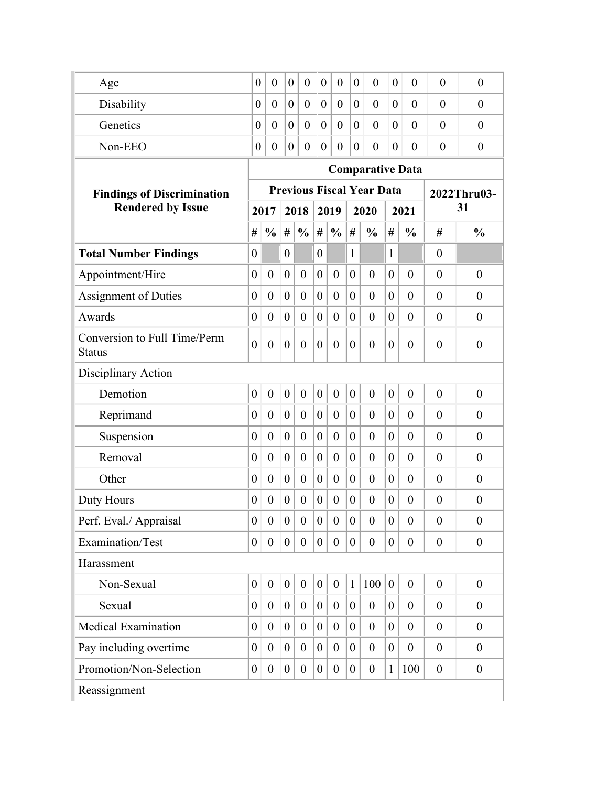| Age                                           | $\boldsymbol{0}$ | $\overline{0}$   | $\boldsymbol{0}$ | $\overline{0}$   | $\boldsymbol{0}$ | $\overline{0}$   | $\boldsymbol{0}$ | $\overline{0}$                   | $\boldsymbol{0}$ | $\overline{0}$   | $\overline{0}$   | $\overline{0}$   |  |  |
|-----------------------------------------------|------------------|------------------|------------------|------------------|------------------|------------------|------------------|----------------------------------|------------------|------------------|------------------|------------------|--|--|
| Disability                                    | 0                | $\overline{0}$   | $\overline{0}$   | $\boldsymbol{0}$ | $\boldsymbol{0}$ | $\overline{0}$   | $\overline{0}$   | $\overline{0}$                   | $\overline{0}$   | $\theta$         | $\overline{0}$   | $\boldsymbol{0}$ |  |  |
| Genetics                                      | 0                | $\theta$         | $\boldsymbol{0}$ | $\overline{0}$   | $\boldsymbol{0}$ | $\overline{0}$   | $\overline{0}$   | $\theta$                         | $\overline{0}$   | $\theta$         | $\overline{0}$   | $\overline{0}$   |  |  |
| Non-EEO                                       | $\boldsymbol{0}$ | $\overline{0}$   | $\boldsymbol{0}$ | $\overline{0}$   | $\boldsymbol{0}$ | $\overline{0}$   | $\overline{0}$   | $\overline{0}$                   | $\overline{0}$   | $\theta$         | $\theta$         | $\overline{0}$   |  |  |
|                                               |                  |                  |                  |                  |                  |                  |                  | <b>Comparative Data</b>          |                  |                  |                  |                  |  |  |
| <b>Findings of Discrimination</b>             |                  |                  |                  |                  |                  |                  |                  | <b>Previous Fiscal Year Data</b> |                  |                  |                  | 2022Thru03-      |  |  |
| <b>Rendered by Issue</b>                      |                  | 2017             |                  | 2018             |                  | 2019             |                  | 2020                             |                  | 2021             |                  | 31               |  |  |
|                                               | #                | $\frac{0}{0}$    | #                | $\frac{0}{0}$    | #                | $\frac{0}{0}$    | #                | $\frac{0}{0}$                    | #                | $\frac{0}{0}$    | #                | $\frac{0}{0}$    |  |  |
| <b>Total Number Findings</b>                  | $\theta$         |                  | $\theta$         |                  | $\overline{0}$   |                  | 1                |                                  | 1                |                  | $\theta$         |                  |  |  |
| Appointment/Hire                              | $\boldsymbol{0}$ | $\overline{0}$   | $\overline{0}$   | $\boldsymbol{0}$ | $\boldsymbol{0}$ | $\mathbf{0}$     | $\overline{0}$   | $\overline{0}$                   | $\theta$         | $\overline{0}$   | $\theta$         | $\boldsymbol{0}$ |  |  |
| <b>Assignment of Duties</b>                   | $\boldsymbol{0}$ | $\overline{0}$   | $\theta$         | $\overline{0}$   | $\overline{0}$   | $\boldsymbol{0}$ | $\theta$         | $\boldsymbol{0}$                 | $\overline{0}$   | $\theta$         | $\theta$         | $\theta$         |  |  |
| Awards                                        | $\overline{0}$   | $\overline{0}$   | $\theta$         | $\overline{0}$   | $\overline{0}$   | $\overline{0}$   | $\overline{0}$   | $\overline{0}$                   | $\theta$         | $\theta$         | $\overline{0}$   | $\boldsymbol{0}$ |  |  |
| Conversion to Full Time/Perm<br><b>Status</b> | $\overline{0}$   | $\overline{0}$   | $\theta$         | $\overline{0}$   | $\theta$         | $\theta$         | $\overline{0}$   | $\overline{0}$                   | $\theta$         | $\theta$         | $\overline{0}$   | $\overline{0}$   |  |  |
| Disciplinary Action                           |                  |                  |                  |                  |                  |                  |                  |                                  |                  |                  |                  |                  |  |  |
| Demotion                                      | $\boldsymbol{0}$ | $\overline{0}$   | $\overline{0}$   | $\overline{0}$   | $\theta$         | $\boldsymbol{0}$ | $\overline{0}$   | $\overline{0}$                   | $\overline{0}$   | $\overline{0}$   | $\theta$         | $\overline{0}$   |  |  |
| Reprimand                                     | $\boldsymbol{0}$ | $\overline{0}$   | $\theta$         | $\overline{0}$   | $\overline{0}$   | $\boldsymbol{0}$ | $\overline{0}$   | $\overline{0}$                   | $\overline{0}$   | $\theta$         | $\theta$         | $\overline{0}$   |  |  |
| Suspension                                    | $\boldsymbol{0}$ | $\overline{0}$   | $\theta$         | $\overline{0}$   | $\overline{0}$   | $\boldsymbol{0}$ | $\overline{0}$   | $\overline{0}$                   | $\theta$         | $\overline{0}$   | $\overline{0}$   | $\boldsymbol{0}$ |  |  |
| Removal                                       | $\boldsymbol{0}$ | $\overline{0}$   | $\theta$         | $\boldsymbol{0}$ | $\overline{0}$   | $\theta$         | $\overline{0}$   | $\overline{0}$                   | $\theta$         | $\theta$         | $\theta$         | $\theta$         |  |  |
| Other                                         | $\theta$         | $\overline{0}$   | $\mathbf{0}$     | $\overline{0}$   | $\theta$         | $\boldsymbol{0}$ | $\theta$         | $\boldsymbol{0}$                 | $\Omega$         | $\theta$         | $\theta$         | $\overline{0}$   |  |  |
| Duty Hours                                    | $\theta$         | $\overline{0}$   | $\theta$         | $\boldsymbol{0}$ | $\theta$         | $\theta$         | $\theta$         | $\boldsymbol{0}$                 | $\theta$         | $\theta$         | $\theta$         | $\overline{0}$   |  |  |
| Perf. Eval./ Appraisal                        | $\boldsymbol{0}$ | $\overline{0}$   | $\overline{0}$   | $\overline{0}$   | $\theta$         | $\theta$         | $\theta$         | $\overline{0}$                   | $\theta$         | $\theta$         | $\theta$         | $\boldsymbol{0}$ |  |  |
| Examination/Test                              | $\boldsymbol{0}$ | $\boldsymbol{0}$ | $\mathbf{0}$     | $\boldsymbol{0}$ | $\boldsymbol{0}$ | $\boldsymbol{0}$ | $\boldsymbol{0}$ | $\boldsymbol{0}$                 | $\overline{0}$   | $\boldsymbol{0}$ | $\boldsymbol{0}$ | $\boldsymbol{0}$ |  |  |
| Harassment                                    |                  |                  |                  |                  |                  |                  |                  |                                  |                  |                  |                  |                  |  |  |
| Non-Sexual                                    | $\boldsymbol{0}$ | $\boldsymbol{0}$ | $\boldsymbol{0}$ | $\theta$         | $\boldsymbol{0}$ | $\boldsymbol{0}$ | $\mathbf{1}$     | 100                              | $\theta$         | $\theta$         | $\overline{0}$   | $\boldsymbol{0}$ |  |  |
| Sexual                                        | $\theta$         | $\boldsymbol{0}$ | $\overline{0}$   | $\boldsymbol{0}$ | $\theta$         | $\overline{0}$   | $\theta$         | $\theta$                         | 0                | $\boldsymbol{0}$ | $\theta$         | $\theta$         |  |  |
| <b>Medical Examination</b>                    | $\theta$         | $\overline{0}$   | $\overline{0}$   | $\overline{0}$   | $\overline{0}$   | $\overline{0}$   | $\theta$         | $\theta$                         | $\theta$         | $\boldsymbol{0}$ | $\overline{0}$   | $\boldsymbol{0}$ |  |  |
| Pay including overtime                        | $\theta$         | $\theta$         | $\overline{0}$   | $\theta$         | $\theta$         | $\overline{0}$   | $\theta$         | $\theta$                         | $\overline{0}$   | $\overline{0}$   | $\theta$         | $\theta$         |  |  |
| Promotion/Non-Selection                       | $\overline{0}$   | $\boldsymbol{0}$ | $\boldsymbol{0}$ | $\boldsymbol{0}$ | $\boldsymbol{0}$ | $\overline{0}$   | $\boldsymbol{0}$ | $\boldsymbol{0}$                 | $\mathbf{1}$     | 100              | $\overline{0}$   | $\boldsymbol{0}$ |  |  |
| Reassignment                                  |                  |                  |                  |                  |                  |                  |                  |                                  |                  |                  |                  |                  |  |  |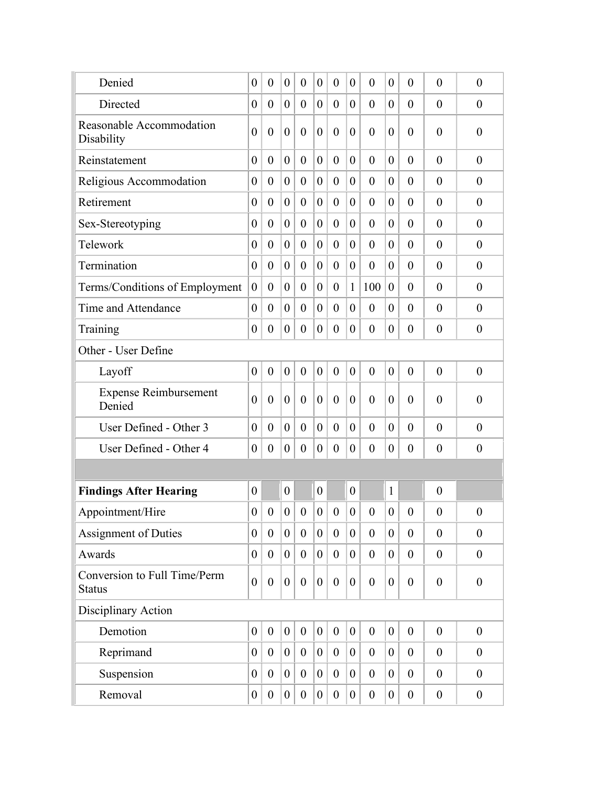| Denied                                        | $\theta$         | $\theta$         | $\boldsymbol{0}$ | $\overline{0}$   | $\overline{0}$   | $\theta$         | $\theta$         | $\overline{0}$   | $\theta$         | $\theta$         | $\theta$         | $\overline{0}$   |
|-----------------------------------------------|------------------|------------------|------------------|------------------|------------------|------------------|------------------|------------------|------------------|------------------|------------------|------------------|
| Directed                                      | $\boldsymbol{0}$ | $\boldsymbol{0}$ | $\overline{0}$   | $\overline{0}$   | $\boldsymbol{0}$ | $\boldsymbol{0}$ | $\theta$         | $\overline{0}$   | $\overline{0}$   | $\theta$         | $\overline{0}$   | $\theta$         |
| Reasonable Accommodation<br>Disability        | $\overline{0}$   | $\boldsymbol{0}$ | $\boldsymbol{0}$ | $\overline{0}$   | $\overline{0}$   | $\overline{0}$   | $\theta$         | $\overline{0}$   | $\theta$         | $\theta$         | $\theta$         | $\theta$         |
| Reinstatement                                 | $\theta$         | $\overline{0}$   | $\theta$         | $\overline{0}$   | $\overline{0}$   | $\theta$         | $\theta$         | $\overline{0}$   | $\theta$         | $\overline{0}$   | $\theta$         | $\overline{0}$   |
| Religious Accommodation                       | $\boldsymbol{0}$ | $\boldsymbol{0}$ | $\theta$         | $\overline{0}$   | $\boldsymbol{0}$ | $\boldsymbol{0}$ | $\theta$         | $\boldsymbol{0}$ | $\overline{0}$   | $\theta$         | $\theta$         | $\theta$         |
| Retirement                                    | $\boldsymbol{0}$ | $\boldsymbol{0}$ | $\overline{0}$   | $\overline{0}$   | $\overline{0}$   | $\overline{0}$   | $\theta$         | $\theta$         | $\overline{0}$   | $\overline{0}$   | $\theta$         | $\boldsymbol{0}$ |
| Sex-Stereotyping                              | $\boldsymbol{0}$ | $\boldsymbol{0}$ | $\theta$         | $\boldsymbol{0}$ | $\boldsymbol{0}$ | $\boldsymbol{0}$ | $\theta$         | $\theta$         | $\overline{0}$   | $\theta$         | $\theta$         | $\theta$         |
| Telework                                      | $\boldsymbol{0}$ | $\boldsymbol{0}$ | $\theta$         | $\overline{0}$   | $\overline{0}$   | $\boldsymbol{0}$ | $\theta$         | $\theta$         | $\overline{0}$   | $\overline{0}$   | $\theta$         | $\overline{0}$   |
| Termination                                   | $\theta$         | $\boldsymbol{0}$ | $\boldsymbol{0}$ | $\overline{0}$   | $\boldsymbol{0}$ | $\boldsymbol{0}$ | $\theta$         | $\overline{0}$   | $\theta$         | $\overline{0}$   | $\theta$         | $\overline{0}$   |
| Terms/Conditions of Employment                | $\boldsymbol{0}$ | $\overline{0}$   | $\overline{0}$   | $\overline{0}$   | $\overline{0}$   | $\theta$         | 1                | 100              | $\theta$         | $\overline{0}$   | $\theta$         | $\theta$         |
| Time and Attendance                           | $\overline{0}$   | $\overline{0}$   | $\overline{0}$   | $\overline{0}$   | $\overline{0}$   | $\overline{0}$   | $\theta$         | $\overline{0}$   | $\theta$         | $\overline{0}$   | $\mathbf{0}$     | $\overline{0}$   |
| Training                                      | $\boldsymbol{0}$ | $\overline{0}$   | $\overline{0}$   | $\overline{0}$   | $\overline{0}$   | $\theta$         | $\theta$         | $\boldsymbol{0}$ | $\overline{0}$   | $\theta$         | $\theta$         | $\theta$         |
| Other - User Define                           |                  |                  |                  |                  |                  |                  |                  |                  |                  |                  |                  |                  |
| Layoff                                        | $\overline{0}$   | $\boldsymbol{0}$ | $\boldsymbol{0}$ | $\overline{0}$   | $\boldsymbol{0}$ | $\overline{0}$   | $\theta$         | $\overline{0}$   | $\theta$         | $\overline{0}$   | $\theta$         | $\theta$         |
| <b>Expense Reimbursement</b><br>Denied        | $\overline{0}$   | $\theta$         | $\theta$         | $\overline{0}$   | $\overline{0}$   | $\overline{0}$   | $\theta$         | $\theta$         | $\theta$         | $\theta$         | $\theta$         | $\theta$         |
| User Defined - Other 3                        | $\theta$         | $\overline{0}$   | $\theta$         | $\overline{0}$   | $\overline{0}$   | $\overline{0}$   | $\theta$         | $\overline{0}$   | $\theta$         | $\overline{0}$   | $\overline{0}$   | $\overline{0}$   |
| User Defined - Other 4                        | $\boldsymbol{0}$ | $\boldsymbol{0}$ | $\boldsymbol{0}$ | $\boldsymbol{0}$ | $\boldsymbol{0}$ | $\boldsymbol{0}$ | $\boldsymbol{0}$ | $\boldsymbol{0}$ | $\overline{0}$   | $\theta$         | $\boldsymbol{0}$ | $\theta$         |
|                                               |                  |                  |                  |                  |                  |                  |                  |                  |                  |                  |                  |                  |
| <b>Findings After Hearing</b>                 | $\theta$         |                  | $\boldsymbol{0}$ |                  | $\overline{0}$   |                  | $\theta$         |                  | $\mathbf{1}$     |                  | $\overline{0}$   |                  |
| Appointment/Hire                              | $\theta$         | $\boldsymbol{0}$ | $\boldsymbol{0}$ | $\boldsymbol{0}$ | $\boldsymbol{0}$ | $\boldsymbol{0}$ | $\theta$         | $\boldsymbol{0}$ | $\boldsymbol{0}$ | $\boldsymbol{0}$ | $\boldsymbol{0}$ | $\boldsymbol{0}$ |
| <b>Assignment of Duties</b>                   | $\boldsymbol{0}$ | $\boldsymbol{0}$ | $\boldsymbol{0}$ | $\mathbf{0}$     | $\overline{0}$   | $\boldsymbol{0}$ | $\overline{0}$   | $\theta$         | $\overline{0}$   | $\theta$         | $\mathbf{0}$     | $\mathbf{0}$     |
| Awards                                        | $\boldsymbol{0}$ | $\mathbf{0}$     | $\boldsymbol{0}$ | $\boldsymbol{0}$ | $\overline{0}$   | $\boldsymbol{0}$ | $\boldsymbol{0}$ | $\boldsymbol{0}$ | $\overline{0}$   | $\boldsymbol{0}$ | $\boldsymbol{0}$ | $\theta$         |
| Conversion to Full Time/Perm<br><b>Status</b> | $\boldsymbol{0}$ | $\boldsymbol{0}$ | $\boldsymbol{0}$ | $\overline{0}$   | $\boldsymbol{0}$ | $\theta$         | $\boldsymbol{0}$ | $\boldsymbol{0}$ | $\overline{0}$   | $\mathbf{0}$     | $\mathbf{0}$     | $\boldsymbol{0}$ |
| Disciplinary Action                           |                  |                  |                  |                  |                  |                  |                  |                  |                  |                  |                  |                  |
| Demotion                                      | $\boldsymbol{0}$ | $\boldsymbol{0}$ | $\boldsymbol{0}$ | $\boldsymbol{0}$ | $\boldsymbol{0}$ | $\boldsymbol{0}$ | $\boldsymbol{0}$ | $\boldsymbol{0}$ | $\boldsymbol{0}$ | $\boldsymbol{0}$ | $\boldsymbol{0}$ | $\boldsymbol{0}$ |
| Reprimand                                     | $\boldsymbol{0}$ | $\boldsymbol{0}$ | $\overline{0}$   | $\boldsymbol{0}$ | $\boldsymbol{0}$ | $\boldsymbol{0}$ | $\boldsymbol{0}$ | $\boldsymbol{0}$ | $\overline{0}$   | $\boldsymbol{0}$ | $\boldsymbol{0}$ | $\boldsymbol{0}$ |
| Suspension                                    | $\boldsymbol{0}$ | $\boldsymbol{0}$ | $\boldsymbol{0}$ | $\boldsymbol{0}$ | $\boldsymbol{0}$ | $\theta$         | $\overline{0}$   | $\boldsymbol{0}$ | $\overline{0}$   | $\boldsymbol{0}$ | $\boldsymbol{0}$ | $\boldsymbol{0}$ |
| Removal                                       | $\boldsymbol{0}$ | $\boldsymbol{0}$ | $\overline{0}$   | $\boldsymbol{0}$ | $\overline{0}$   | $\boldsymbol{0}$ | $\overline{0}$   | $\boldsymbol{0}$ | $\overline{0}$   | $\boldsymbol{0}$ | $\boldsymbol{0}$ | $\boldsymbol{0}$ |
|                                               |                  |                  |                  |                  |                  |                  |                  |                  |                  |                  |                  |                  |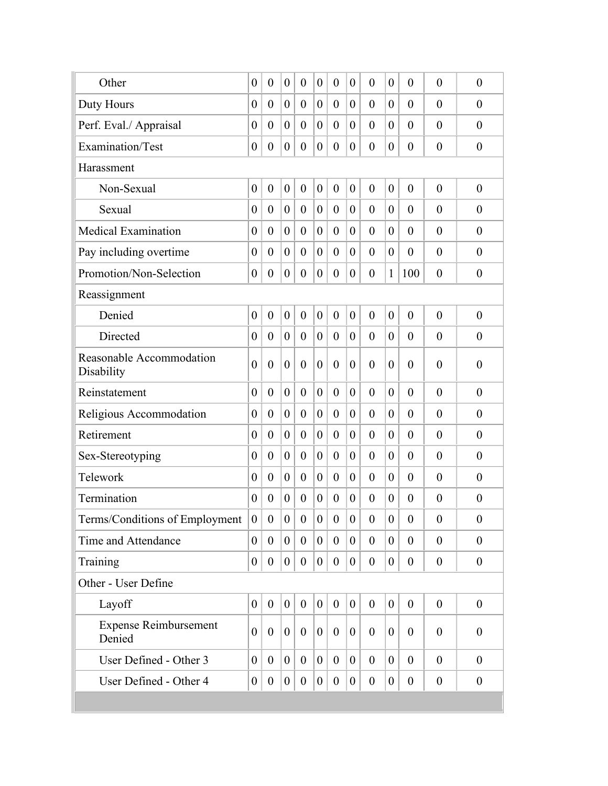| Other                                  | $\boldsymbol{0}$ | $\boldsymbol{0}$ | $\boldsymbol{0}$ | $\theta$         | $\theta$         | $\overline{0}$   | $\theta$         | $\overline{0}$   | $\boldsymbol{0}$ | $\overline{0}$   | $\overline{0}$   | $\theta$         |
|----------------------------------------|------------------|------------------|------------------|------------------|------------------|------------------|------------------|------------------|------------------|------------------|------------------|------------------|
| Duty Hours                             | $\boldsymbol{0}$ | $\boldsymbol{0}$ | $\boldsymbol{0}$ | $\theta$         | $\overline{0}$   | $\overline{0}$   | $\overline{0}$   | $\overline{0}$   | $\theta$         | $\theta$         | $\theta$         | $\theta$         |
| Perf. Eval./ Appraisal                 | $\theta$         | $\boldsymbol{0}$ | $\boldsymbol{0}$ | $\theta$         | $\theta$         | $\theta$         | $\overline{0}$   | $\theta$         | $\overline{0}$   | $\theta$         | $\theta$         | $\theta$         |
| Examination/Test                       | $\boldsymbol{0}$ | $\boldsymbol{0}$ | $\boldsymbol{0}$ | $\overline{0}$   | $\overline{0}$   | $\boldsymbol{0}$ | $\theta$         | $\overline{0}$   | $\overline{0}$   | $\overline{0}$   | $\overline{0}$   | $\overline{0}$   |
| Harassment                             |                  |                  |                  |                  |                  |                  |                  |                  |                  |                  |                  |                  |
| Non-Sexual                             | $\theta$         | $\overline{0}$   | $\boldsymbol{0}$ | $\overline{0}$   | $\overline{0}$   | $\overline{0}$   | $\theta$         | $\overline{0}$   | $\overline{0}$   | $\overline{0}$   | $\overline{0}$   | $\theta$         |
| Sexual                                 | $\theta$         | $\theta$         | $\theta$         | $\theta$         | $\theta$         | $\theta$         | $\overline{0}$   | $\theta$         | $\theta$         | $\theta$         | $\theta$         | $\theta$         |
| <b>Medical Examination</b>             | $\overline{0}$   | $\boldsymbol{0}$ | $\boldsymbol{0}$ | $\overline{0}$   | $\overline{0}$   | $\overline{0}$   | $\theta$         | $\overline{0}$   | $\theta$         | $\theta$         | $\theta$         | $\theta$         |
| Pay including overtime                 | $\overline{0}$   | $\boldsymbol{0}$ | $\theta$         | $\theta$         | $\theta$         | $\overline{0}$   | $\overline{0}$   | $\theta$         | $\overline{0}$   | $\theta$         | $\overline{0}$   | $\theta$         |
| Promotion/Non-Selection                | $\theta$         | $\boldsymbol{0}$ | $\boldsymbol{0}$ | $\overline{0}$   | $\boldsymbol{0}$ | $\overline{0}$   | $\overline{0}$   | $\overline{0}$   | 1                | 100              | $\overline{0}$   | $\boldsymbol{0}$ |
| Reassignment                           |                  |                  |                  |                  |                  |                  |                  |                  |                  |                  |                  |                  |
| Denied                                 | $\boldsymbol{0}$ | $\boldsymbol{0}$ | $\boldsymbol{0}$ | $\boldsymbol{0}$ | $\boldsymbol{0}$ | $\boldsymbol{0}$ | $\boldsymbol{0}$ | $\boldsymbol{0}$ | $\boldsymbol{0}$ | $\overline{0}$   | $\theta$         | $\overline{0}$   |
| Directed                               | $\overline{0}$   | $\boldsymbol{0}$ | $\boldsymbol{0}$ | $\theta$         | $\theta$         | $\overline{0}$   | $\theta$         | $\overline{0}$   | $\theta$         | $\overline{0}$   | $\overline{0}$   | $\overline{0}$   |
| Reasonable Accommodation<br>Disability | $\overline{0}$   | $\overline{0}$   | $\overline{0}$   | $\overline{0}$   | $\overline{0}$   | $\overline{0}$   | $\theta$         | $\overline{0}$   | $\theta$         | $\theta$         | $\overline{0}$   | $\theta$         |
| Reinstatement                          | $\boldsymbol{0}$ | $\boldsymbol{0}$ | $\boldsymbol{0}$ | $\overline{0}$   | $\overline{0}$   | $\overline{0}$   | $\overline{0}$   | $\overline{0}$   | $\overline{0}$   | $\overline{0}$   | $\overline{0}$   | $\overline{0}$   |
| Religious Accommodation                | $\boldsymbol{0}$ | $\boldsymbol{0}$ | $\boldsymbol{0}$ | $\overline{0}$   | $\overline{0}$   | $\boldsymbol{0}$ | $\overline{0}$   | $\overline{0}$   | $\overline{0}$   | $\overline{0}$   | $\theta$         | $\overline{0}$   |
| Retirement                             | $\theta$         | $\theta$         | $\theta$         | $\overline{0}$   | $\theta$         | $\theta$         | $\overline{0}$   | $\theta$         | $\theta$         | $\theta$         | $\theta$         | $\theta$         |
| Sex-Stereotyping                       | $\theta$         | $\overline{0}$   | $\theta$         | $\overline{0}$   | $\theta$         | $\overline{0}$   | $\theta$         | $\overline{0}$   | $\theta$         | $\theta$         | $\overline{0}$   | $\overline{0}$   |
| Telework                               | $\theta$         | $\theta$         | $\theta$         | $\theta$         | $\theta$         | $\theta$         | $\overline{0}$   | $\theta$         | $\theta$         | $\theta$         | $\theta$         | $\theta$         |
| Termination                            | $\theta$         | $\boldsymbol{0}$ | $\boldsymbol{0}$ | $\theta$         | $\overline{0}$   | $\boldsymbol{0}$ | $\theta$         | $\boldsymbol{0}$ | $\theta$         | $\theta$         | $\overline{0}$   | $\boldsymbol{0}$ |
| Terms/Conditions of Employment         | $\mathbf{0}$     | $\boldsymbol{0}$ | $\boldsymbol{0}$ | $\overline{0}$   | $\overline{0}$   | $\boldsymbol{0}$ | $\overline{0}$   | $\boldsymbol{0}$ | $\boldsymbol{0}$ | $\boldsymbol{0}$ | $\theta$         | $\boldsymbol{0}$ |
| Time and Attendance                    | $\overline{0}$   | $\boldsymbol{0}$ | $\overline{0}$   | $\mathbf{0}$     | $\overline{0}$   | $\mathbf{0}$     | $\overline{0}$   | $\mathbf{0}$     | $\overline{0}$   | $\overline{0}$   | $\boldsymbol{0}$ | $\theta$         |
| Training                               | $\overline{0}$   | $\boldsymbol{0}$ | $\boldsymbol{0}$ | $\boldsymbol{0}$ | $\overline{0}$   | $\boldsymbol{0}$ | $\overline{0}$   | $\boldsymbol{0}$ | $\boldsymbol{0}$ | $\boldsymbol{0}$ | $\boldsymbol{0}$ | $\boldsymbol{0}$ |
| Other - User Define                    |                  |                  |                  |                  |                  |                  |                  |                  |                  |                  |                  |                  |
| Layoff                                 | $\boldsymbol{0}$ | $\mathbf{0}$     | $\boldsymbol{0}$ | $\overline{0}$   | $\overline{0}$   | $\boldsymbol{0}$ | $\mathbf{0}$     | $\boldsymbol{0}$ | $\boldsymbol{0}$ | $\theta$         | $\overline{0}$   | $\boldsymbol{0}$ |
| <b>Expense Reimbursement</b><br>Denied | $\theta$         | $\mathbf{0}$     | $\theta$         | $\overline{0}$   | $\overline{0}$   | $\theta$         | $\theta$         | $\overline{0}$   | $\theta$         | $\theta$         | $\theta$         | $\theta$         |
| User Defined - Other 3                 | $\overline{0}$   | $\boldsymbol{0}$ | $\boldsymbol{0}$ | $\mathbf{0}$     | $\overline{0}$   | $\mathbf{0}$     | $\overline{0}$   | $\overline{0}$   | $\overline{0}$   | $\theta$         | $\mathbf{0}$     | $\theta$         |
| User Defined - Other 4                 | $\overline{0}$   | $\boldsymbol{0}$ | $\boldsymbol{0}$ | $\boldsymbol{0}$ | $\boldsymbol{0}$ | $\boldsymbol{0}$ | $\boldsymbol{0}$ | $\boldsymbol{0}$ | $\boldsymbol{0}$ | $\boldsymbol{0}$ | $\boldsymbol{0}$ | $\boldsymbol{0}$ |
|                                        |                  |                  |                  |                  |                  |                  |                  |                  |                  |                  |                  |                  |
|                                        |                  |                  |                  |                  |                  |                  |                  |                  |                  |                  |                  |                  |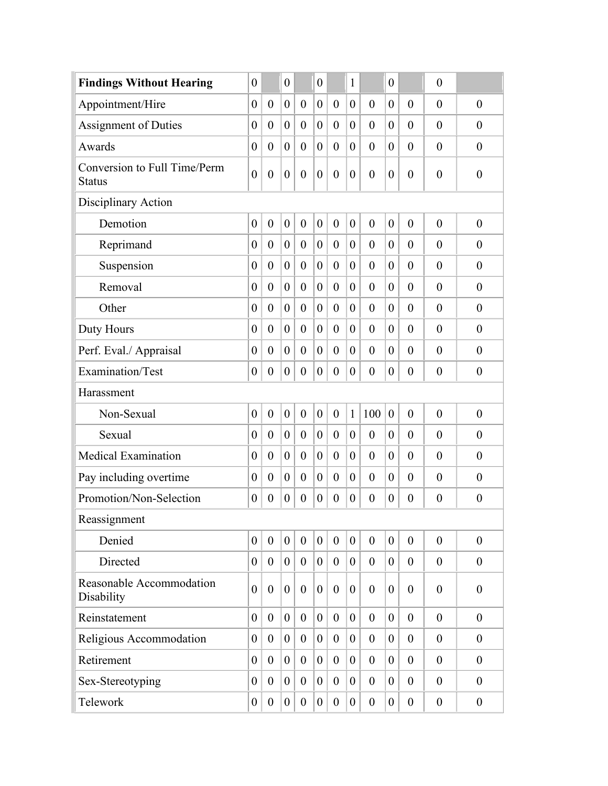| <b>Findings Without Hearing</b>               | $\overline{0}$   |                  | $\overline{0}$   |                  | $\boldsymbol{0}$ |                  | 1                |                  | $\overline{0}$   |                  | $\boldsymbol{0}$ |                  |
|-----------------------------------------------|------------------|------------------|------------------|------------------|------------------|------------------|------------------|------------------|------------------|------------------|------------------|------------------|
| Appointment/Hire                              | $\boldsymbol{0}$ | $\boldsymbol{0}$ | $\overline{0}$   | $\boldsymbol{0}$ | $\theta$         | $\boldsymbol{0}$ | $\theta$         | $\overline{0}$   | $\overline{0}$   | $\theta$         | $\theta$         | $\theta$         |
| <b>Assignment of Duties</b>                   | $\boldsymbol{0}$ | $\overline{0}$   | $\overline{0}$   | $\overline{0}$   | $\theta$         | $\boldsymbol{0}$ | $\theta$         | $\overline{0}$   | $\theta$         | $\theta$         | $\overline{0}$   | $\overline{0}$   |
| Awards                                        | $\boldsymbol{0}$ | $\boldsymbol{0}$ | $\overline{0}$   | $\boldsymbol{0}$ | $\boldsymbol{0}$ | $\boldsymbol{0}$ | $\boldsymbol{0}$ | $\boldsymbol{0}$ | $\theta$         | $\theta$         | $\overline{0}$   | $\theta$         |
| Conversion to Full Time/Perm<br><b>Status</b> | $\boldsymbol{0}$ | $\boldsymbol{0}$ | $\boldsymbol{0}$ | $\boldsymbol{0}$ | $\mathbf{0}$     | $\overline{0}$   | $\theta$         | $\boldsymbol{0}$ | $\overline{0}$   | $\theta$         | $\overline{0}$   | $\overline{0}$   |
| Disciplinary Action                           |                  |                  |                  |                  |                  |                  |                  |                  |                  |                  |                  |                  |
| Demotion                                      | $\boldsymbol{0}$ | $\boldsymbol{0}$ | $\boldsymbol{0}$ | $\boldsymbol{0}$ | $\boldsymbol{0}$ | $\boldsymbol{0}$ | $\theta$         | $\boldsymbol{0}$ | $\overline{0}$   | $\theta$         | $\theta$         | $\theta$         |
| Reprimand                                     | $\boldsymbol{0}$ | $\overline{0}$   | $\overline{0}$   | $\overline{0}$   | $\theta$         | $\boldsymbol{0}$ | $\overline{0}$   | $\overline{0}$   | $\overline{0}$   | $\theta$         | $\overline{0}$   | $\overline{0}$   |
| Suspension                                    | $\boldsymbol{0}$ | $\overline{0}$   | $\overline{0}$   | $\boldsymbol{0}$ | $\theta$         | $\boldsymbol{0}$ | $\theta$         | $\boldsymbol{0}$ | $\theta$         | $\theta$         | $\overline{0}$   | $\theta$         |
| Removal                                       | $\boldsymbol{0}$ | $\boldsymbol{0}$ | $\overline{0}$   | $\overline{0}$   | $\theta$         | $\boldsymbol{0}$ | $\theta$         | $\overline{0}$   | $\theta$         | $\theta$         | $\overline{0}$   | $\overline{0}$   |
| Other                                         | $\boldsymbol{0}$ | $\overline{0}$   | $\theta$         | $\boldsymbol{0}$ | $\mathbf{0}$     | $\boldsymbol{0}$ | $\theta$         | $\overline{0}$   | $\theta$         | $\theta$         | $\overline{0}$   | $\overline{0}$   |
| Duty Hours                                    | $\boldsymbol{0}$ | $\boldsymbol{0}$ | $\theta$         | $\boldsymbol{0}$ | $\overline{0}$   | $\boldsymbol{0}$ | $\overline{0}$   | $\boldsymbol{0}$ | $\theta$         | $\theta$         | $\theta$         | $\overline{0}$   |
| Perf. Eval./ Appraisal                        | $\theta$         | $\overline{0}$   | $\theta$         | $\overline{0}$   | $\theta$         | $\overline{0}$   | $\overline{0}$   | $\overline{0}$   | $\theta$         | $\overline{0}$   | $\overline{0}$   | $\overline{0}$   |
| Examination/Test                              | $\theta$         | $\overline{0}$   | $\overline{0}$   | $\overline{0}$   | $\overline{0}$   | $\theta$         | $\overline{0}$   | $\boldsymbol{0}$ | $\overline{0}$   | $\theta$         | $\overline{0}$   | $\theta$         |
| Harassment                                    |                  |                  |                  |                  |                  |                  |                  |                  |                  |                  |                  |                  |
| Non-Sexual                                    | $\boldsymbol{0}$ | $\boldsymbol{0}$ | $\boldsymbol{0}$ | $\boldsymbol{0}$ | $\boldsymbol{0}$ | $\boldsymbol{0}$ | $\mathbf{1}$     | 100              | $\overline{0}$   | $\overline{0}$   | $\theta$         | $\overline{0}$   |
| Sexual                                        | $\boldsymbol{0}$ | $\overline{0}$   | $\overline{0}$   | $\overline{0}$   | $\theta$         | $\boldsymbol{0}$ | $\theta$         | $\overline{0}$   | $\theta$         | $\overline{0}$   | $\theta$         | $\overline{0}$   |
| <b>Medical Examination</b>                    | $\boldsymbol{0}$ | $\overline{0}$   | $\overline{0}$   | $\boldsymbol{0}$ | $\theta$         | $\boldsymbol{0}$ | $\theta$         | $\boldsymbol{0}$ | $\theta$         | $\overline{0}$   | $\overline{0}$   | $\theta$         |
| Pay including overtime                        | $\boldsymbol{0}$ | $\overline{0}$   | $\overline{0}$   | $\overline{0}$   | $\theta$         | $\boldsymbol{0}$ | $\overline{0}$   | $\boldsymbol{0}$ | $\theta$         | $\overline{0}$   | $\overline{0}$   | $\theta$         |
| Promotion/Non-Selection                       | $\boldsymbol{0}$ | $\boldsymbol{0}$ | $\boldsymbol{0}$ | $\boldsymbol{0}$ | $\boldsymbol{0}$ | $\boldsymbol{0}$ | $\boldsymbol{0}$ | $\boldsymbol{0}$ | $\boldsymbol{0}$ | $\boldsymbol{0}$ | $\boldsymbol{0}$ | $\boldsymbol{0}$ |
| Reassignment                                  |                  |                  |                  |                  |                  |                  |                  |                  |                  |                  |                  |                  |
| Denied                                        | $\boldsymbol{0}$ | $\boldsymbol{0}$ | $\boldsymbol{0}$ | $\overline{0}$   | $\overline{0}$   | $\boldsymbol{0}$ | $\theta$         | $\overline{0}$   | $\overline{0}$   | $\overline{0}$   | $\overline{0}$   | $\mathbf{0}$     |
| Directed                                      | $\theta$         | $\overline{0}$   | $\overline{0}$   | $\overline{0}$   | $\overline{0}$   | $\theta$         | $\overline{0}$   | $\overline{0}$   | $\theta$         | $\boldsymbol{0}$ | $\overline{0}$   | $\theta$         |
| Reasonable Accommodation<br>Disability        | $\overline{0}$   | $\boldsymbol{0}$ | $\overline{0}$   | $\overline{0}$   | $\overline{0}$   | $\boldsymbol{0}$ | $\boldsymbol{0}$ | $\theta$         | $\theta$         | $\overline{0}$   | $\overline{0}$   | $\boldsymbol{0}$ |
| Reinstatement                                 | $\overline{0}$   | $\mathbf{0}$     | $\overline{0}$   | $\boldsymbol{0}$ | $\overline{0}$   | $\boldsymbol{0}$ | $\overline{0}$   | $\theta$         | $\overline{0}$   | $\overline{0}$   | $\overline{0}$   | $\theta$         |
| Religious Accommodation                       | $\theta$         | $\boldsymbol{0}$ | $\overline{0}$   | $\boldsymbol{0}$ | $\theta$         | $\overline{0}$   | $\overline{0}$   | $\boldsymbol{0}$ | $\overline{0}$   | $\overline{0}$   | $\theta$         | $\theta$         |
| Retirement                                    | $\overline{0}$   | $\mathbf{0}$     | $\overline{0}$   | $\overline{0}$   | $\overline{0}$   | $\boldsymbol{0}$ | $\overline{0}$   | $\mathbf{0}$     | $\theta$         | $\mathbf{0}$     | $\boldsymbol{0}$ | $\boldsymbol{0}$ |
| Sex-Stereotyping                              | $\theta$         | $\overline{0}$   | $\overline{0}$   | $\overline{0}$   | $\theta$         | $\theta$         | $\overline{0}$   | $\overline{0}$   | $\theta$         | $\theta$         | $\overline{0}$   | $\theta$         |
| Telework                                      | $\overline{0}$   | $\theta$         | $\boldsymbol{0}$ | $\boldsymbol{0}$ | $\overline{0}$   | $\boldsymbol{0}$ | $\boldsymbol{0}$ | $\boldsymbol{0}$ | $\overline{0}$   | $\boldsymbol{0}$ | $\boldsymbol{0}$ | $\boldsymbol{0}$ |